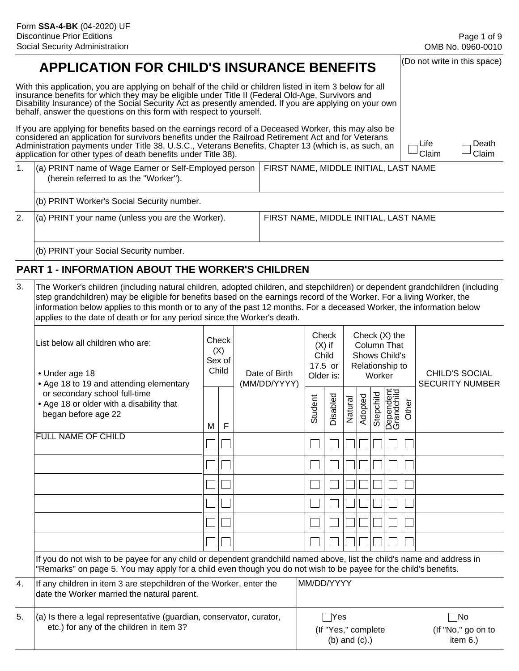(Do not write in this space)

# **APPLICATION FOR CHILD'S INSURANCE BENEFITS**

With this application, you are applying on behalf of the child or children listed in item 3 below for all insurance benefits for which they may be eligible under Title II (Federal Old-Age, Survivors and Disability Insurance) of the Social Security Act as presently amended. If you are applying on your own behalf, answer the questions on this form with respect to yourself.

If you are applying for benefits based on the earnings record of a Deceased Worker, this may also be considered an application for survivors benefits under the Railroad Retirement Act and for Veterans Administration payments under Title 38, U.S.C., Veterans Benefits, Chapter 13 (which is, as such, an application for other types of death benefits under Title 38).

Life Claim Death Claim

| (a) PRINT name of Wage Earner or Self-Employed person  <br>(herein referred to as the "Worker"). | FIRST NAME, MIDDLE INITIAL, LAST NAME |
|--------------------------------------------------------------------------------------------------|---------------------------------------|
| (b) PRINT Worker's Social Security number.                                                       |                                       |

(b) PRINT your Social Security number.

2. (a) PRINT your name (unless you are the Worker). FIRST NAME, MIDDLE INITIAL, LAST NAME

### **PART 1 - INFORMATION ABOUT THE WORKER'S CHILDREN**

3. The Worker's children (including natural children, adopted children, and stepchildren) or dependent grandchildren (including step grandchildren) may be eligible for benefits based on the earnings record of the Worker. For a living Worker, the information below applies to this month or to any of the past 12 months. For a deceased Worker, the information below applies to the date of death or for any period since the Worker's death.

|    | List below all children who are:<br>• Under age 18<br>• Age 18 to 19 and attending elementary                                                                                                                                              |   | Check<br>(X)<br>Sex of<br>Child | Date of Birth<br>(MM/DD/YYYY) | Check<br>Older is: | $(X)$ if<br>Child<br>17.5 or                           |         |         | Worker    | Check (X) the<br><b>Column That</b><br><b>Shows Child's</b><br>Relationship to |       | <b>CHILD'S SOCIAL</b><br><b>SECURITY NUMBER</b> |
|----|--------------------------------------------------------------------------------------------------------------------------------------------------------------------------------------------------------------------------------------------|---|---------------------------------|-------------------------------|--------------------|--------------------------------------------------------|---------|---------|-----------|--------------------------------------------------------------------------------|-------|-------------------------------------------------|
|    | or secondary school full-time<br>• Age 18 or older with a disability that<br>began before age 22                                                                                                                                           | M | F                               |                               | Student            | Disabled                                               | Natural | Adopted | Stepchild | Dependent<br>Grandchild                                                        | Other |                                                 |
|    | <b>FULL NAME OF CHILD</b>                                                                                                                                                                                                                  |   |                                 |                               |                    |                                                        |         |         |           |                                                                                |       |                                                 |
|    |                                                                                                                                                                                                                                            |   |                                 |                               |                    |                                                        |         |         |           |                                                                                |       |                                                 |
|    |                                                                                                                                                                                                                                            |   |                                 |                               |                    |                                                        |         |         |           |                                                                                |       |                                                 |
|    |                                                                                                                                                                                                                                            |   |                                 |                               |                    |                                                        |         |         |           |                                                                                |       |                                                 |
|    |                                                                                                                                                                                                                                            |   |                                 |                               |                    |                                                        |         |         |           |                                                                                |       |                                                 |
|    |                                                                                                                                                                                                                                            |   |                                 |                               |                    |                                                        |         |         |           |                                                                                |       |                                                 |
|    | If you do not wish to be payee for any child or dependent grandchild named above, list the child's name and address in<br>"Remarks" on page 5. You may apply for a child even though you do not wish to be payee for the child's benefits. |   |                                 |                               |                    |                                                        |         |         |           |                                                                                |       |                                                 |
| 4. | If any children in item 3 are stepchildren of the Worker, enter the<br>date the Worker married the natural parent.                                                                                                                         |   |                                 |                               | MM/DD/YYYY         |                                                        |         |         |           |                                                                                |       |                                                 |
| 5. | $(a)$ is there a legal representative (guardian, conservator, curator,<br>etc.) for any of the children in item 3?                                                                                                                         |   |                                 |                               |                    | $\sf Nes$<br>(If "Yes," complete<br>$(b)$ and $(c)$ .) |         |         |           |                                                                                |       | $\neg$ No<br>(If "No," go on to<br>item $6.$ )  |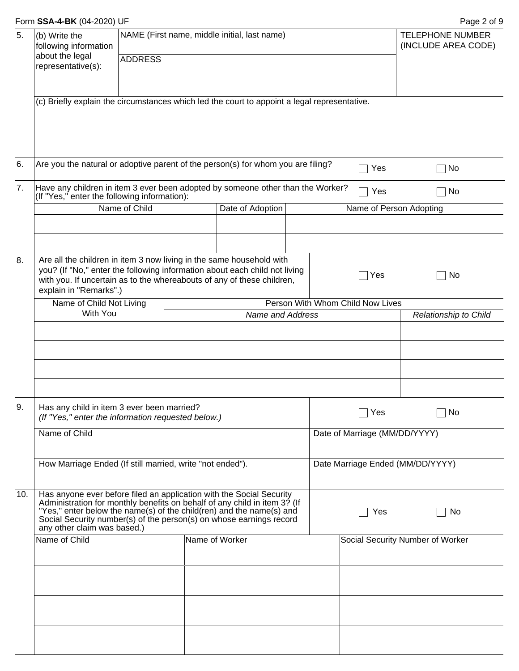|  | Form SSA-4-BK (04-2020) UF |  |  |
|--|----------------------------|--|--|
|--|----------------------------|--|--|

Page 2 of 9

| 5.  | (b) Write the<br>following information<br>about the legal                                                                                                                                                                                                                                                                       |                |                                                             | NAME (First name, middle initial, last name) |    |  |                               | <b>TELEPHONE NUMBER</b><br>(INCLUDE AREA CODE) |
|-----|---------------------------------------------------------------------------------------------------------------------------------------------------------------------------------------------------------------------------------------------------------------------------------------------------------------------------------|----------------|-------------------------------------------------------------|----------------------------------------------|----|--|-------------------------------|------------------------------------------------|
|     | representative(s):                                                                                                                                                                                                                                                                                                              | <b>ADDRESS</b> |                                                             |                                              |    |  |                               |                                                |
|     | (c) Briefly explain the circumstances which led the court to appoint a legal representative.                                                                                                                                                                                                                                    |                |                                                             |                                              |    |  |                               |                                                |
| 6.  | Are you the natural or adoptive parent of the person(s) for whom you are filing?                                                                                                                                                                                                                                                |                |                                                             |                                              |    |  | Yes                           | No                                             |
| 7.  | Have any children in item 3 ever been adopted by someone other than the Worker?<br>(If "Yes," enter the following information):                                                                                                                                                                                                 |                |                                                             |                                              |    |  | Yes                           | No                                             |
|     |                                                                                                                                                                                                                                                                                                                                 | Name of Child  |                                                             | Date of Adoption                             |    |  | Name of Person Adopting       |                                                |
| 8.  | Are all the children in item 3 now living in the same household with<br>you? (If "No," enter the following information about each child not living<br>with you. If uncertain as to the whereabouts of any of these children,<br>explain in "Remarks".)                                                                          |                |                                                             |                                              |    |  | Yes                           | No                                             |
|     | Name of Child Not Living<br>With You                                                                                                                                                                                                                                                                                            |                | Person With Whom Child Now Lives<br><b>Name and Address</b> |                                              |    |  |                               | Relationship to Child                          |
| 9.  |                                                                                                                                                                                                                                                                                                                                 |                |                                                             |                                              |    |  |                               |                                                |
|     | Has any child in item 3 ever been married?<br>(If "Yes," enter the information requested below.)                                                                                                                                                                                                                                |                |                                                             |                                              |    |  | Yes                           | No                                             |
|     | Name of Child                                                                                                                                                                                                                                                                                                                   |                |                                                             |                                              |    |  | Date of Marriage (MM/DD/YYYY) |                                                |
|     | How Marriage Ended (If still married, write "not ended").                                                                                                                                                                                                                                                                       |                |                                                             |                                              |    |  |                               | Date Marriage Ended (MM/DD/YYYY)               |
| 10. | Has anyone ever before filed an application with the Social Security<br>Administration for monthly benefits on behalf of any child in item 3? (If<br>"Yes," enter below the name(s) of the child(ren) and the name(s) and<br>Social Security number(s) of the person(s) on whose earnings record<br>any other claim was based.) |                |                                                             |                                              | No |  |                               |                                                |
|     | Name of Child                                                                                                                                                                                                                                                                                                                   |                |                                                             | Name of Worker                               |    |  |                               | Social Security Number of Worker               |
|     |                                                                                                                                                                                                                                                                                                                                 |                |                                                             |                                              |    |  |                               |                                                |
|     |                                                                                                                                                                                                                                                                                                                                 |                |                                                             |                                              |    |  |                               |                                                |
|     |                                                                                                                                                                                                                                                                                                                                 |                |                                                             |                                              |    |  |                               |                                                |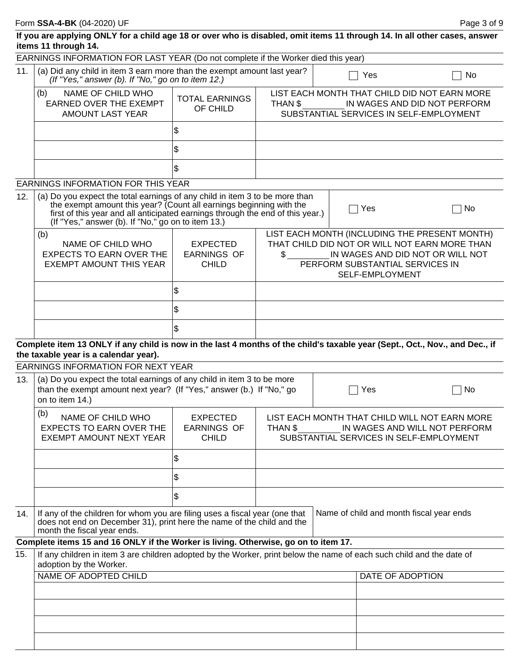|                                                                                               | If you are applying ONLY for a child age 18 or over who is disabled, omit items 11 through 14. In all other cases, answer<br>items 11 through 14.                                                                                                                                          |                                                       |         |                                                                                                                           |                                                                                                                                                                       |  |  |
|-----------------------------------------------------------------------------------------------|--------------------------------------------------------------------------------------------------------------------------------------------------------------------------------------------------------------------------------------------------------------------------------------------|-------------------------------------------------------|---------|---------------------------------------------------------------------------------------------------------------------------|-----------------------------------------------------------------------------------------------------------------------------------------------------------------------|--|--|
|                                                                                               | EARNINGS INFORMATION FOR LAST YEAR (Do not complete if the Worker died this year)                                                                                                                                                                                                          |                                                       |         |                                                                                                                           |                                                                                                                                                                       |  |  |
| 11.                                                                                           | (a) Did any child in item 3 earn more than the exempt amount last year?<br>(If "Yes," answer (b). If "No," go on to item 12.)                                                                                                                                                              |                                                       |         | Yes                                                                                                                       | No                                                                                                                                                                    |  |  |
|                                                                                               | NAME OF CHILD WHO<br>(b)<br><b>EARNED OVER THE EXEMPT</b><br><b>AMOUNT LAST YEAR</b>                                                                                                                                                                                                       | <b>TOTAL EARNINGS</b><br>OF CHILD                     | THAN \$ | LIST EACH MONTH THAT CHILD DID NOT EARN MORE<br>IN WAGES AND DID NOT PERFORM<br>SUBSTANTIAL SERVICES IN SELF-EMPLOYMENT   |                                                                                                                                                                       |  |  |
|                                                                                               |                                                                                                                                                                                                                                                                                            | \$                                                    |         |                                                                                                                           |                                                                                                                                                                       |  |  |
|                                                                                               |                                                                                                                                                                                                                                                                                            | \$                                                    |         |                                                                                                                           |                                                                                                                                                                       |  |  |
|                                                                                               |                                                                                                                                                                                                                                                                                            | \$                                                    |         |                                                                                                                           |                                                                                                                                                                       |  |  |
|                                                                                               | <b>EARNINGS INFORMATION FOR THIS YEAR</b>                                                                                                                                                                                                                                                  |                                                       |         |                                                                                                                           |                                                                                                                                                                       |  |  |
| 12.                                                                                           | (a) Do you expect the total earnings of any child in item 3 to be more than<br>the exempt amount this year? (Count all earnings beginning with the<br>first of this year and all anticipated earnings through the end of this year.)<br>(If "Yes," answer (b). If "No," go on to item 13.) |                                                       |         | Yes                                                                                                                       | No                                                                                                                                                                    |  |  |
| (b)<br>NAME OF CHILD WHO<br><b>EXPECTS TO EARN OVER THE</b><br><b>EXEMPT AMOUNT THIS YEAR</b> |                                                                                                                                                                                                                                                                                            | <b>EXPECTED</b><br><b>EARNINGS OF</b><br><b>CHILD</b> | \$      | SELF-EMPLOYMENT                                                                                                           | LIST EACH MONTH (INCLUDING THE PRESENT MONTH)<br>THAT CHILD DID NOT OR WILL NOT EARN MORE THAN<br>IN WAGES AND DID NOT OR WILL NOT<br>PERFORM SUBSTANTIAL SERVICES IN |  |  |
|                                                                                               |                                                                                                                                                                                                                                                                                            | \$                                                    |         |                                                                                                                           |                                                                                                                                                                       |  |  |
|                                                                                               |                                                                                                                                                                                                                                                                                            | \$                                                    |         |                                                                                                                           |                                                                                                                                                                       |  |  |
|                                                                                               |                                                                                                                                                                                                                                                                                            | \$                                                    |         |                                                                                                                           |                                                                                                                                                                       |  |  |
|                                                                                               | Complete item 13 ONLY if any child is now in the last 4 months of the child's taxable year (Sept., Oct., Nov., and Dec., if                                                                                                                                                                |                                                       |         |                                                                                                                           |                                                                                                                                                                       |  |  |
|                                                                                               |                                                                                                                                                                                                                                                                                            |                                                       |         |                                                                                                                           |                                                                                                                                                                       |  |  |
|                                                                                               | the taxable year is a calendar year).                                                                                                                                                                                                                                                      |                                                       |         |                                                                                                                           |                                                                                                                                                                       |  |  |
| 13.                                                                                           | EARNINGS INFORMATION FOR NEXT YEAR<br>(a) Do you expect the total earnings of any child in item 3 to be more<br>than the exempt amount next year? (If "Yes," answer (b.) If "No," go<br>on to item 14.)                                                                                    |                                                       |         | Yes                                                                                                                       | No                                                                                                                                                                    |  |  |
|                                                                                               | (b)<br>NAME OF CHILD WHO<br><b>EXPECTS TO EARN OVER THE</b><br>EXEMPT AMOUNT NEXT YEAR                                                                                                                                                                                                     | <b>EXPECTED</b><br><b>EARNINGS OF</b><br><b>CHILD</b> | THAN \$ | LIST EACH MONTH THAT CHILD WILL NOT EARN MORE<br>IN WAGES AND WILL NOT PERFORM<br>SUBSTANTIAL SERVICES IN SELF-EMPLOYMENT |                                                                                                                                                                       |  |  |
|                                                                                               |                                                                                                                                                                                                                                                                                            | \$                                                    |         |                                                                                                                           |                                                                                                                                                                       |  |  |
|                                                                                               |                                                                                                                                                                                                                                                                                            | \$                                                    |         |                                                                                                                           |                                                                                                                                                                       |  |  |
|                                                                                               |                                                                                                                                                                                                                                                                                            | \$                                                    |         |                                                                                                                           |                                                                                                                                                                       |  |  |
| 14.                                                                                           | If any of the children for whom you are filing uses a fiscal year (one that<br>does not end on December 31), print here the name of the child and the<br>month the fiscal year ends.                                                                                                       |                                                       |         | Name of child and month fiscal year ends                                                                                  |                                                                                                                                                                       |  |  |
|                                                                                               | Complete items 15 and 16 ONLY if the Worker is living. Otherwise, go on to item 17.                                                                                                                                                                                                        |                                                       |         |                                                                                                                           |                                                                                                                                                                       |  |  |
|                                                                                               | If any children in item 3 are children adopted by the Worker, print below the name of each such child and the date of                                                                                                                                                                      |                                                       |         |                                                                                                                           |                                                                                                                                                                       |  |  |
| 15.                                                                                           | adoption by the Worker.<br><b>NAME OF ADOPTED CHILD</b>                                                                                                                                                                                                                                    |                                                       |         | <b>DATE OF ADOPTION</b>                                                                                                   |                                                                                                                                                                       |  |  |
|                                                                                               |                                                                                                                                                                                                                                                                                            |                                                       |         |                                                                                                                           |                                                                                                                                                                       |  |  |
|                                                                                               |                                                                                                                                                                                                                                                                                            |                                                       |         |                                                                                                                           |                                                                                                                                                                       |  |  |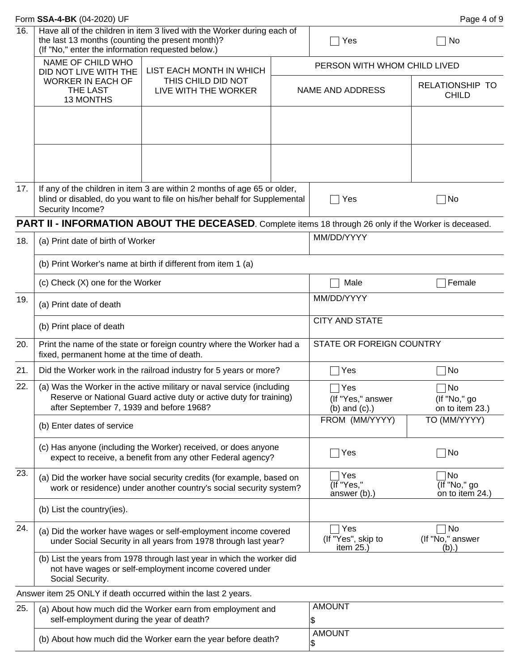|     | Form SSA-4-BK (04-2020) UF                                                                            |                                                                                                                                                       |                                                |                                           | Page 4 of 9                            |  |  |
|-----|-------------------------------------------------------------------------------------------------------|-------------------------------------------------------------------------------------------------------------------------------------------------------|------------------------------------------------|-------------------------------------------|----------------------------------------|--|--|
| 16. | the last 13 months (counting the present month)?<br>(If "No," enter the information requested below.) | Have all of the children in item 3 lived with the Worker during each of                                                                               |                                                | Yes                                       | No                                     |  |  |
|     | NAME OF CHILD WHO<br>DID NOT LIVE WITH THE                                                            | LIST EACH MONTH IN WHICH                                                                                                                              |                                                | PERSON WITH WHOM CHILD LIVED              |                                        |  |  |
|     | <b>WORKER IN EACH OF</b><br>THE LAST<br>13 MONTHS                                                     | THIS CHILD DID NOT<br>LIVE WITH THE WORKER                                                                                                            |                                                | NAME AND ADDRESS                          | RELATIONSHIP TO<br><b>CHILD</b>        |  |  |
|     |                                                                                                       |                                                                                                                                                       |                                                |                                           |                                        |  |  |
| 17. |                                                                                                       | If any of the children in item 3 are within 2 months of age 65 or older,<br>blind or disabled, do you want to file on his/her behalf for Supplemental |                                                | Yes                                       | ⊺No                                    |  |  |
|     | Security Income?                                                                                      |                                                                                                                                                       |                                                |                                           |                                        |  |  |
|     |                                                                                                       | PART II - INFORMATION ABOUT THE DECEASED. Complete items 18 through 26 only if the Worker is deceased.                                                |                                                |                                           |                                        |  |  |
| 18. | (a) Print date of birth of Worker                                                                     |                                                                                                                                                       |                                                | MM/DD/YYYY                                |                                        |  |  |
|     |                                                                                                       | (b) Print Worker's name at birth if different from item 1 (a)                                                                                         |                                                |                                           |                                        |  |  |
|     | (c) Check (X) one for the Worker                                                                      |                                                                                                                                                       |                                                | Male                                      | Female                                 |  |  |
| 19. | (a) Print date of death                                                                               |                                                                                                                                                       |                                                | MM/DD/YYYY                                |                                        |  |  |
|     | (b) Print place of death                                                                              |                                                                                                                                                       |                                                | <b>CITY AND STATE</b>                     |                                        |  |  |
| 20. | fixed, permanent home at the time of death.                                                           | Print the name of the state or foreign country where the Worker had a                                                                                 |                                                | STATE OR FOREIGN COUNTRY                  |                                        |  |  |
| 21. |                                                                                                       | Did the Worker work in the railroad industry for 5 years or more?                                                                                     |                                                | Yes                                       | ∣No                                    |  |  |
| 22. | after September 7, 1939 and before 1968?                                                              | (a) Was the Worker in the active military or naval service (including<br>Reserve or National Guard active duty or active duty for training)           | Yes<br>(If "Yes," answer<br>$(b)$ and $(c)$ .) | No<br>(If "No," go<br>on to item 23.)     |                                        |  |  |
|     | (b) Enter dates of service                                                                            |                                                                                                                                                       |                                                | FROM (MM/YYYY)                            | TO (MM/YYYY)                           |  |  |
|     |                                                                                                       | (c) Has anyone (including the Worker) received, or does anyone<br>expect to receive, a benefit from any other Federal agency?                         |                                                | Yes                                       | ⊺No                                    |  |  |
| 23. |                                                                                                       | (a) Did the worker have social security credits (for example, based on<br>work or residence) under another country's social security system?          |                                                | Yes<br>(If "Yes,"<br>answer (b).)         | ⊺No<br>(If "No," go<br>on to item 24.) |  |  |
|     | (b) List the country(ies).                                                                            |                                                                                                                                                       |                                                |                                           |                                        |  |  |
| 24. |                                                                                                       | (a) Did the worker have wages or self-employment income covered<br>under Social Security in all years from 1978 through last year?                    |                                                | Yes<br>(If "Yes", skip to<br>item $25.$ ) | No<br>(If "No," answer<br>(b).         |  |  |
|     | Social Security.                                                                                      | (b) List the years from 1978 through last year in which the worker did<br>not have wages or self-employment income covered under                      |                                                |                                           |                                        |  |  |
|     |                                                                                                       | Answer item 25 ONLY if death occurred within the last 2 years.                                                                                        |                                                |                                           |                                        |  |  |
| 25. | self-employment during the year of death?                                                             | (a) About how much did the Worker earn from employment and                                                                                            |                                                | <b>AMOUNT</b><br>\$                       |                                        |  |  |
|     |                                                                                                       | (b) About how much did the Worker earn the year before death?                                                                                         | <b>AMOUNT</b><br>\$                            |                                           |                                        |  |  |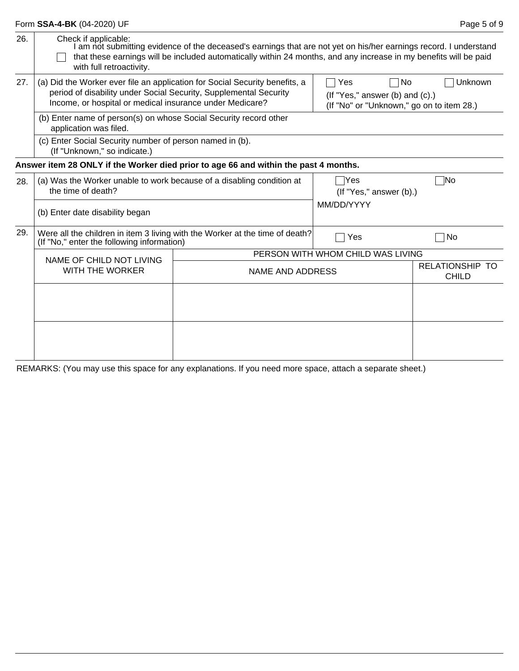|     | Form SSA-4-BK (04-2020) UF                                                                                                                                                                                   |                                                                                                                                                                                                                                        |                                                                                                         | Page 5 of 9                     |  |  |
|-----|--------------------------------------------------------------------------------------------------------------------------------------------------------------------------------------------------------------|----------------------------------------------------------------------------------------------------------------------------------------------------------------------------------------------------------------------------------------|---------------------------------------------------------------------------------------------------------|---------------------------------|--|--|
| 26. | Check if applicable:<br>with full retroactivity.                                                                                                                                                             | I am not submitting evidence of the deceased's earnings that are not yet on his/her earnings record. I understand<br>that these earnings will be included automatically within 24 months, and any increase in my benefits will be paid |                                                                                                         |                                 |  |  |
| 27. | (a) Did the Worker ever file an application for Social Security benefits, a<br>period of disability under Social Security, Supplemental Security<br>Income, or hospital or medical insurance under Medicare? |                                                                                                                                                                                                                                        | Unknown<br>Yes<br>No<br>(If "Yes," answer (b) and $(c)$ .)<br>(If "No" or "Unknown," go on to item 28.) |                                 |  |  |
|     | (b) Enter name of person(s) on whose Social Security record other<br>application was filed.                                                                                                                  |                                                                                                                                                                                                                                        |                                                                                                         |                                 |  |  |
|     | (c) Enter Social Security number of person named in (b).<br>(If "Unknown," so indicate.)                                                                                                                     |                                                                                                                                                                                                                                        |                                                                                                         |                                 |  |  |
|     | Answer item 28 ONLY if the Worker died prior to age 66 and within the past 4 months.                                                                                                                         |                                                                                                                                                                                                                                        |                                                                                                         |                                 |  |  |
| 28. | (a) Was the Worker unable to work because of a disabling condition at<br>the time of death?                                                                                                                  |                                                                                                                                                                                                                                        | $\exists$ Yes<br>$($ If "Yes," answer $($ b $).$                                                        | $\neg$ No                       |  |  |
|     | (b) Enter date disability began                                                                                                                                                                              |                                                                                                                                                                                                                                        | MM/DD/YYYY                                                                                              |                                 |  |  |
| 29. | (If "No," enter the following information)                                                                                                                                                                   | Were all the children in item 3 living with the Worker at the time of death?                                                                                                                                                           | <b>No</b><br>Yes                                                                                        |                                 |  |  |
|     | NAME OF CHILD NOT LIVING                                                                                                                                                                                     |                                                                                                                                                                                                                                        | PERSON WITH WHOM CHILD WAS LIVING                                                                       |                                 |  |  |
|     | <b>WITH THE WORKER</b><br>NAME AND ADDRESS                                                                                                                                                                   |                                                                                                                                                                                                                                        |                                                                                                         | RELATIONSHIP TO<br><b>CHILD</b> |  |  |
|     |                                                                                                                                                                                                              |                                                                                                                                                                                                                                        |                                                                                                         |                                 |  |  |
|     |                                                                                                                                                                                                              |                                                                                                                                                                                                                                        |                                                                                                         |                                 |  |  |
|     |                                                                                                                                                                                                              |                                                                                                                                                                                                                                        |                                                                                                         |                                 |  |  |

REMARKS: (You may use this space for any explanations. If you need more space, attach a separate sheet.)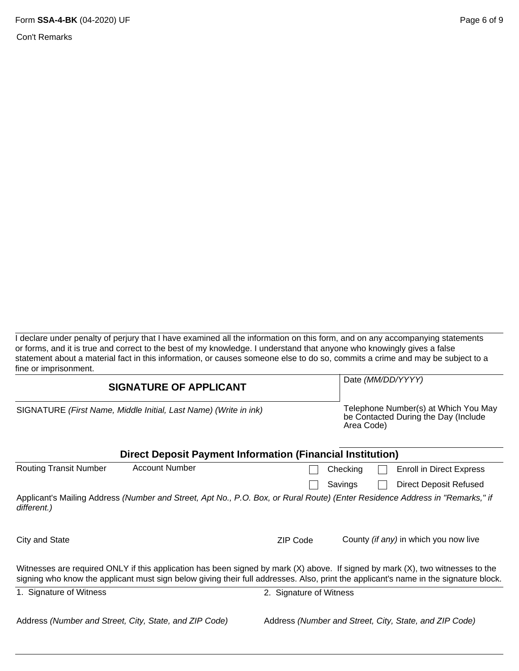Con't Remarks

I declare under penalty of perjury that I have examined all the information on this form, and on any accompanying statements or forms, and it is true and correct to the best of my knowledge. I understand that anyone who knowingly gives a false statement about a material fact in this information, or causes someone else to do so, commits a crime and may be subject to a fine or imprisonment.

| <b>SIGNATURE OF APPLICANT</b>                                    | Date (MM/DD/YYYY)                                                                                                                                                                                                                                                           |  |
|------------------------------------------------------------------|-----------------------------------------------------------------------------------------------------------------------------------------------------------------------------------------------------------------------------------------------------------------------------|--|
| SIGNATURE (First Name, Middle Initial, Last Name) (Write in ink) | Telephone Number(s) at Which You May<br>be Contacted During the Day (Include<br>Area Code)                                                                                                                                                                                  |  |
|                                                                  | <b>Direct Deposit Payment Information (Financial Institution)</b>                                                                                                                                                                                                           |  |
| <b>Account Number</b><br><b>Routing Transit Number</b>           | <b>Enroll in Direct Express</b><br>Checking                                                                                                                                                                                                                                 |  |
|                                                                  | <b>Direct Deposit Refused</b><br>Savings                                                                                                                                                                                                                                    |  |
| different.)                                                      | Applicant's Mailing Address (Number and Street, Apt No., P.O. Box, or Rural Route) (Enter Residence Address in "Remarks," if                                                                                                                                                |  |
| City and State                                                   | County (if any) in which you now live<br><b>ZIP Code</b>                                                                                                                                                                                                                    |  |
|                                                                  | Witnesses are required ONLY if this application has been signed by mark $(X)$ above. If signed by mark $(X)$ , two witnesses to the<br>signing who know the applicant must sign below giving their full addresses. Also, print the applicant's name in the signature block. |  |
| 1. Signature of Witness                                          | 2. Signature of Witness                                                                                                                                                                                                                                                     |  |
| Address (Number and Street, City, State, and ZIP Code)           | Address (Number and Street, City, State, and ZIP Code)                                                                                                                                                                                                                      |  |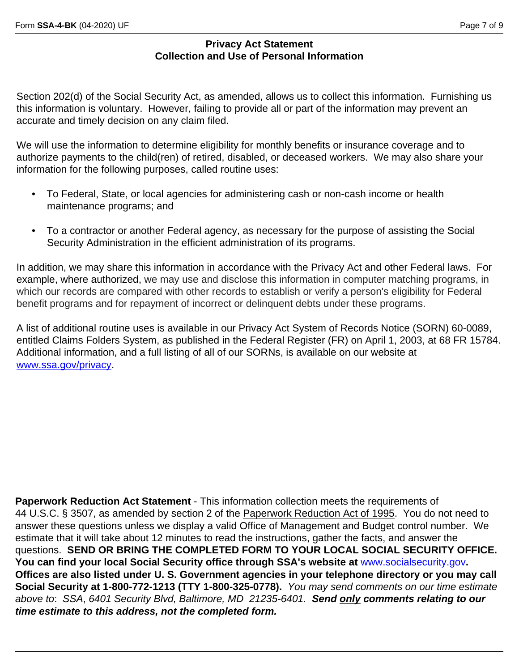### **Privacy Act Statement Collection and Use of Personal Information**

Section 202(d) of the Social Security Act, as amended, allows us to collect this information. Furnishing us this information is voluntary. However, failing to provide all or part of the information may prevent an accurate and timely decision on any claim filed.

We will use the information to determine eligibility for monthly benefits or insurance coverage and to authorize payments to the child(ren) of retired, disabled, or deceased workers. We may also share your information for the following purposes, called routine uses:

- To Federal, State, or local agencies for administering cash or non-cash income or health maintenance programs; and
- To a contractor or another Federal agency, as necessary for the purpose of assisting the Social Security Administration in the efficient administration of its programs.

In addition, we may share this information in accordance with the Privacy Act and other Federal laws. For example, where authorized, we may use and disclose this information in computer matching programs, in which our records are compared with other records to establish or verify a person's eligibility for Federal benefit programs and for repayment of incorrect or delinquent debts under these programs.

A list of additional routine uses is available in our Privacy Act System of Records Notice (SORN) 60-0089, entitled Claims Folders System, as published in the Federal Register (FR) on April 1, 2003, at 68 FR 15784. Additional information, and a full listing of all of our SORNs, is available on our website at [www.ssa.gov/privacy.](http://www.ssa.gov/privacy}{\rtlch\fcs1 \af0\afs24 \ltrch\fcs0 \f0\cf1\insrsid3823303\charrsid16542934 /sorn.html}{\rtlch\fcs1 \af0\afs24 \ltrch\fcs0 
\f0\insrsid3823303\charrsid16542934 )

**Paperwork Reduction Act Statement** - This information collection meets the requirements of 44 U.S.C. § 3507, as amended by section 2 of the Paperwork Reduction Act of 1995. You do not need to answer these questions unless we display a valid Office of Management and Budget control number. We estimate that it will take about 12 minutes to read the instructions, gather the facts, and answer the questions. **SEND OR BRING THE COMPLETED FORM TO YOUR LOCAL SOCIAL SECURITY OFFICE.**  You can find your local Social Security office through SSA's website at **[www.socialsecurity.gov](http://www.socialsecurity.gov). Offices are also listed under U. S. Government agencies in your telephone directory or you may call Social Security at 1-800-772-1213 (TTY 1-800-325-0778).** *You may send comments on our time estimate above to*: *SSA*, *6401 Security Blvd, Baltimore, MD 21235-6401. Send only comments relating to our time estimate to this address, not the completed form.*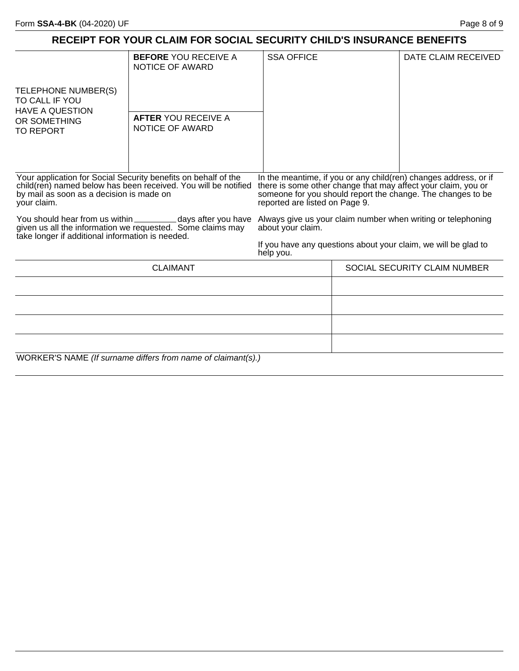## **RECEIPT FOR YOUR CLAIM FOR SOCIAL SECURITY CHILD'S INSURANCE BENEFITS**

|                                                                                    | <b>BEFORE YOU RECEIVE A</b><br>NOTICE OF AWARD                                                                                   | <b>SSA OFFICE</b>                                                                                      |  | DATE CLAIM RECEIVED                                                                                                                                                                              |  |
|------------------------------------------------------------------------------------|----------------------------------------------------------------------------------------------------------------------------------|--------------------------------------------------------------------------------------------------------|--|--------------------------------------------------------------------------------------------------------------------------------------------------------------------------------------------------|--|
| TELEPHONE NUMBER(S)<br>TO CALL IF YOU<br><b>HAVE A QUESTION</b>                    |                                                                                                                                  |                                                                                                        |  |                                                                                                                                                                                                  |  |
| OR SOMETHING<br><b>TO REPORT</b>                                                   | <b>AFTER YOU RECEIVE A</b><br>NOTICE OF AWARD                                                                                    |                                                                                                        |  |                                                                                                                                                                                                  |  |
|                                                                                    |                                                                                                                                  |                                                                                                        |  |                                                                                                                                                                                                  |  |
| by mail as soon as a decision is made on<br>your claim.                            | Your application for Social Security benefits on behalf of the<br>child(ren) named below has been received. You will be notified | reported are listed on Page 9.                                                                         |  | In the meantime, if you or any child(ren) changes address, or if<br>there is some other change that may affect your claim, you or<br>someone for you should report the change. The changes to be |  |
| You should hear from us within<br>take longer if additional information is needed. | given us all the information we requested. Some claims may                                                                       | _days after you have Always give us your claim number when writing or telephoning<br>about your claim. |  |                                                                                                                                                                                                  |  |
|                                                                                    |                                                                                                                                  | help you.                                                                                              |  | If you have any questions about your claim, we will be glad to                                                                                                                                   |  |
|                                                                                    | <b>CLAIMANT</b>                                                                                                                  |                                                                                                        |  | SOCIAL SECURITY CLAIM NUMBER                                                                                                                                                                     |  |
|                                                                                    |                                                                                                                                  |                                                                                                        |  |                                                                                                                                                                                                  |  |
|                                                                                    |                                                                                                                                  |                                                                                                        |  |                                                                                                                                                                                                  |  |
|                                                                                    |                                                                                                                                  |                                                                                                        |  |                                                                                                                                                                                                  |  |
|                                                                                    |                                                                                                                                  |                                                                                                        |  |                                                                                                                                                                                                  |  |
|                                                                                    | WORKER'S NAME (If surname differs from name of claimant(s).)                                                                     |                                                                                                        |  |                                                                                                                                                                                                  |  |